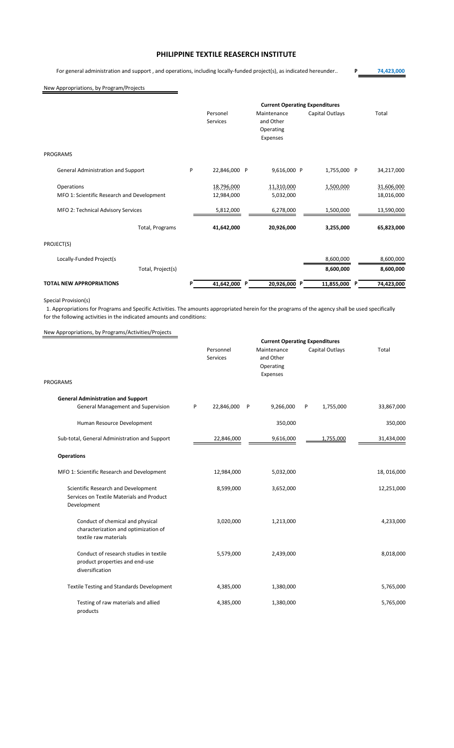## **PHILIPPINE TEXTILE REASERCH INSTITUTE**

For general administration and support , and operations, including locally-funded project(s), as indicated hereunder.. **P 74,423,000**

 $\qquad \qquad$ 

## New Appropriations, by Program/Projects

|                                            | <b>Current Operating Expenditures</b> |                             |          |                          |                 |  |            |
|--------------------------------------------|---------------------------------------|-----------------------------|----------|--------------------------|-----------------|--|------------|
|                                            |                                       | Personel<br><b>Services</b> |          | Maintenance<br>and Other | Capital Outlays |  | Total      |
|                                            |                                       |                             |          | Operating                |                 |  |            |
|                                            |                                       |                             |          | Expenses                 |                 |  |            |
| <b>PROGRAMS</b>                            |                                       |                             |          |                          |                 |  |            |
| General Administration and Support         | P                                     | 22,846,000 P                |          | 9,616,000 P              | 1,755,000 P     |  | 34,217,000 |
| Operations                                 |                                       | 18,796,000                  |          | 11,310,000               | 1,500,000       |  | 31,606,000 |
| MFO 1: Scientific Research and Development |                                       | 12,984,000                  |          | 5,032,000                |                 |  | 18,016,000 |
| MFO 2: Technical Advisory Services         |                                       | 5,812,000                   |          | 6,278,000                | 1,500,000       |  | 13,590,000 |
| Total, Programs                            |                                       | 41,642,000                  |          | 20,926,000               | 3,255,000       |  | 65,823,000 |
| PROJECT(S)                                 |                                       |                             |          |                          |                 |  |            |
| Locally-Funded Project(s                   |                                       |                             |          |                          | 8,600,000       |  | 8,600,000  |
| Total, Project(s)                          |                                       |                             |          |                          | 8,600,000       |  | 8,600,000  |
| <b>TOTAL NEW APPROPRIATIONS</b>            |                                       | 41,642,000                  | <b>P</b> | 20,926,000 P             | 11,855,000 P    |  | 74,423,000 |

#### Special Provision(s)

1. Appropriations for Programs and Specific Activities. The amounts appropriated herein for the programs of the agency shall be used specifically for the following activities in the indicated amounts and conditions:

# New Appropriations, by Programs/Activities/Projects

|                                                                                                   | <b>Current Operating Expenditures</b> |                       |   |                                                   |   |                 |            |
|---------------------------------------------------------------------------------------------------|---------------------------------------|-----------------------|---|---------------------------------------------------|---|-----------------|------------|
|                                                                                                   |                                       | Personnel<br>Services |   | Maintenance<br>and Other<br>Operating<br>Expenses |   | Capital Outlays | Total      |
| <b>PROGRAMS</b>                                                                                   |                                       |                       |   |                                                   |   |                 |            |
| <b>General Administration and Support</b><br>General Management and Supervision                   | P                                     | 22,846,000            | P | 9,266,000                                         | P | 1,755,000       | 33,867,000 |
| Human Resource Development                                                                        |                                       |                       |   | 350,000                                           |   |                 | 350,000    |
| Sub-total, General Administration and Support                                                     |                                       | 22,846,000            |   | 9,616,000                                         |   | 1,755,000       | 31,434,000 |
| <b>Operations</b>                                                                                 |                                       |                       |   |                                                   |   |                 |            |
| MFO 1: Scientific Research and Development                                                        |                                       | 12,984,000            |   | 5,032,000                                         |   |                 | 18,016,000 |
| Scientific Research and Development<br>Services on Textile Materials and Product<br>Development   |                                       | 8,599,000             |   | 3,652,000                                         |   |                 | 12,251,000 |
| Conduct of chemical and physical<br>characterization and optimization of<br>textile raw materials |                                       | 3,020,000             |   | 1,213,000                                         |   |                 | 4,233,000  |
| Conduct of research studies in textile<br>product properties and end-use<br>diversification       |                                       | 5,579,000             |   | 2,439,000                                         |   |                 | 8,018,000  |
| <b>Textile Testing and Standards Development</b>                                                  |                                       | 4,385,000             |   | 1,380,000                                         |   |                 | 5,765,000  |
| Testing of raw materials and allied<br>products                                                   |                                       | 4,385,000             |   | 1,380,000                                         |   |                 | 5,765,000  |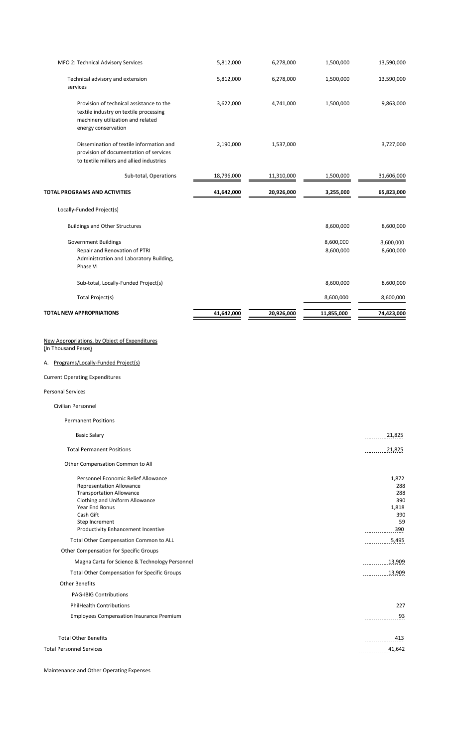| MFO 2: Technical Advisory Services                                                                                                                                                                                                                                     | 5,812,000  | 6,278,000  | 1,500,000              | 13,590,000                                              |
|------------------------------------------------------------------------------------------------------------------------------------------------------------------------------------------------------------------------------------------------------------------------|------------|------------|------------------------|---------------------------------------------------------|
| Technical advisory and extension<br>services                                                                                                                                                                                                                           | 5,812,000  | 6,278,000  | 1,500,000              | 13,590,000                                              |
| Provision of technical assistance to the<br>textile industry on textile processing<br>machinery utilization and related<br>energy conservation                                                                                                                         | 3,622,000  | 4,741,000  | 1,500,000              | 9,863,000                                               |
| Dissemination of textile information and<br>provision of documentation of services<br>to textile millers and allied industries                                                                                                                                         | 2,190,000  | 1,537,000  |                        | 3,727,000                                               |
| Sub-total, Operations                                                                                                                                                                                                                                                  | 18,796,000 | 11,310,000 | 1,500,000              | 31,606,000                                              |
| <b>TOTAL PROGRAMS AND ACTIVITIES</b>                                                                                                                                                                                                                                   | 41,642,000 | 20,926,000 | 3,255,000              | 65,823,000                                              |
| Locally-Funded Project(s)                                                                                                                                                                                                                                              |            |            |                        |                                                         |
| <b>Buildings and Other Structures</b>                                                                                                                                                                                                                                  |            |            | 8,600,000              | 8,600,000                                               |
| <b>Government Buildings</b><br>Repair and Renovation of PTRI<br>Administration and Laboratory Building,<br>Phase VI                                                                                                                                                    |            |            | 8,600,000<br>8,600,000 | 8,600,000<br>8,600,000                                  |
| Sub-total, Locally-Funded Project(s)                                                                                                                                                                                                                                   |            |            | 8,600,000              | 8,600,000                                               |
| Total Project(s)                                                                                                                                                                                                                                                       |            |            | 8,600,000              | 8,600,000                                               |
| <b>TOTAL NEW APPROPRIATIONS</b>                                                                                                                                                                                                                                        | 41,642,000 | 20,926,000 | 11,855,000             | 74,423,000                                              |
| <b>Current Operating Expenditures</b><br><b>Personal Services</b><br>Civilian Personnel                                                                                                                                                                                |            |            |                        |                                                         |
| <b>Permanent Positions</b>                                                                                                                                                                                                                                             |            |            |                        |                                                         |
| <b>Basic Salary</b>                                                                                                                                                                                                                                                    |            |            |                        | $\frac{21,825}{2}$                                      |
| <b>Total Permanent Positions</b>                                                                                                                                                                                                                                       |            |            |                        | $\frac{21,825}{2}$                                      |
|                                                                                                                                                                                                                                                                        |            |            |                        |                                                         |
| Other Compensation Common to All<br>Personnel Economic Relief Allowance<br><b>Representation Allowance</b><br><b>Transportation Allowance</b><br>Clothing and Uniform Allowance<br>Year End Bonus<br>Cash Gift<br>Step Increment<br>Productivity Enhancement Incentive |            |            |                        | 1,872<br>288<br>288<br>390<br>1,818<br>390<br>59<br>390 |
| Total Other Compensation Common to ALL                                                                                                                                                                                                                                 |            |            |                        | 5,495                                                   |
| Other Compensation for Specific Groups<br>Magna Carta for Science & Technology Personnel                                                                                                                                                                               |            |            |                        | 13,909                                                  |
| Total Other Compensation for Specific Groups<br><b>Other Benefits</b>                                                                                                                                                                                                  |            |            |                        | 13,909                                                  |
| <b>PAG-IBIG Contributions</b>                                                                                                                                                                                                                                          |            |            |                        |                                                         |
| <b>PhilHealth Contributions</b>                                                                                                                                                                                                                                        |            |            |                        | 227                                                     |
| <b>Employees Compensation Insurance Premium</b>                                                                                                                                                                                                                        |            |            |                        | 93                                                      |
| <b>Total Other Benefits</b><br><b>Total Personnel Services</b>                                                                                                                                                                                                         |            |            |                        | 413<br>41,642                                           |
|                                                                                                                                                                                                                                                                        |            |            |                        |                                                         |

Maintenance and Other Operating Expenses